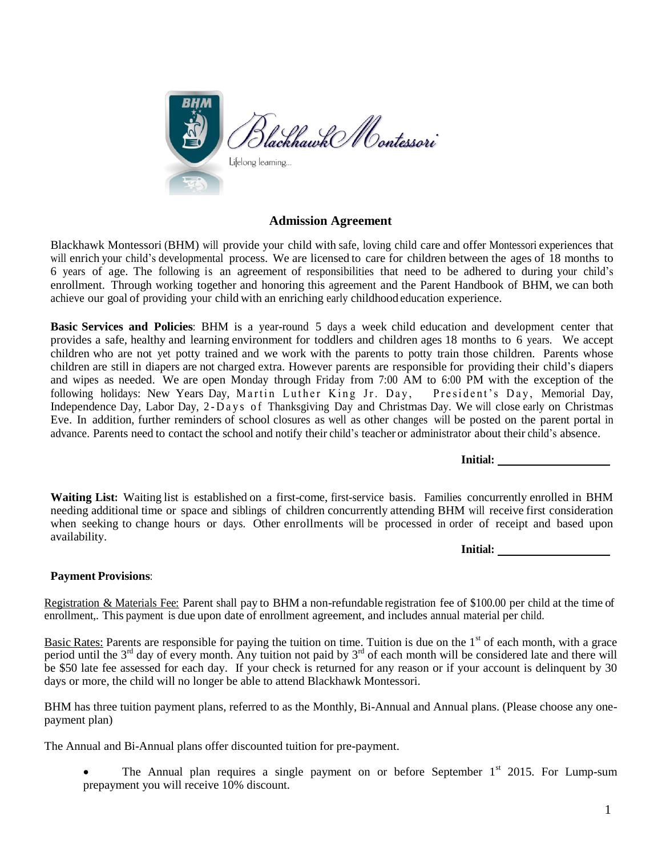

## **Admission Agreement**

Blackhawk Montessori (BHM) will provide your child with safe, loving child care and offer Montessori experiences that will enrich your child's developmental process. We are licensed to care for children between the ages of 18 months to 6 years of age. The following is an agreement of responsibilities that need to be adhered to during your child's enrollment. Through working together and honoring this agreement and the Parent Handbook of BHM, we can both achieve our goal of providing your child with an enriching early childhood education experience.

**Basic Services and Policies**: BHM is a year-round 5 days a week child education and development center that provides a safe, healthy and learning environment for toddlers and children ages 18 months to 6 years. We accept children who are not yet potty trained and we work with the parents to potty train those children. Parents whose children are still in diapers are not charged extra. However parents are responsible for providing their child's diapers and wipes as needed. We are open Monday through Friday from 7:00 AM to 6:00 PM with the exception of the following holidays: New Years Day, Martin Luther King Jr. Day, President's Day, Memorial Day, Independence Day, Labor Day, 2-Days of Thanksgiving Day and Christmas Day. We will close early on Christmas Eve. In addition, further reminders of school closures as well as other changes will be posted on the parent portal in advance. Parents need to contact the school and notify their child's teacher or administrator about their child's absence.

**Initial:**

**Waiting List:** Waiting list is established on a first-come, first-service basis. Families concurrently enrolled in BHM needing additional time or space and siblings of children concurrently attending BHM will receive first consideration when seeking to change hours or days. Other enrollments will be processed in order of receipt and based upon availability.

**Initial:**

## **Payment Provisions**:

Registration & Materials Fee: Parent shall pay to BHM a non-refundable registration fee of \$100.00 per child at the time of enrollment,. This payment is due upon date of enrollment agreement, and includes annual material per child.

Basic Rates: Parents are responsible for paying the tuition on time. Tuition is due on the  $1<sup>st</sup>$  of each month, with a grace period until the  $3<sup>rd</sup>$  day of every month. Any tuition not paid by  $3<sup>rd</sup>$  of each month will be considered late and there will be \$50 late fee assessed for each day. If your check is returned for any reason or if your account is delinquent by 30 days or more, the child will no longer be able to attend Blackhawk Montessori.

BHM has three tuition payment plans, referred to as the Monthly, Bi-Annual and Annual plans. (Please choose any onepayment plan)

The Annual and Bi-Annual plans offer discounted tuition for pre-payment.

The Annual plan requires a single payment on or before September  $1<sup>st</sup>$  2015. For Lump-sum prepayment you will receive 10% discount.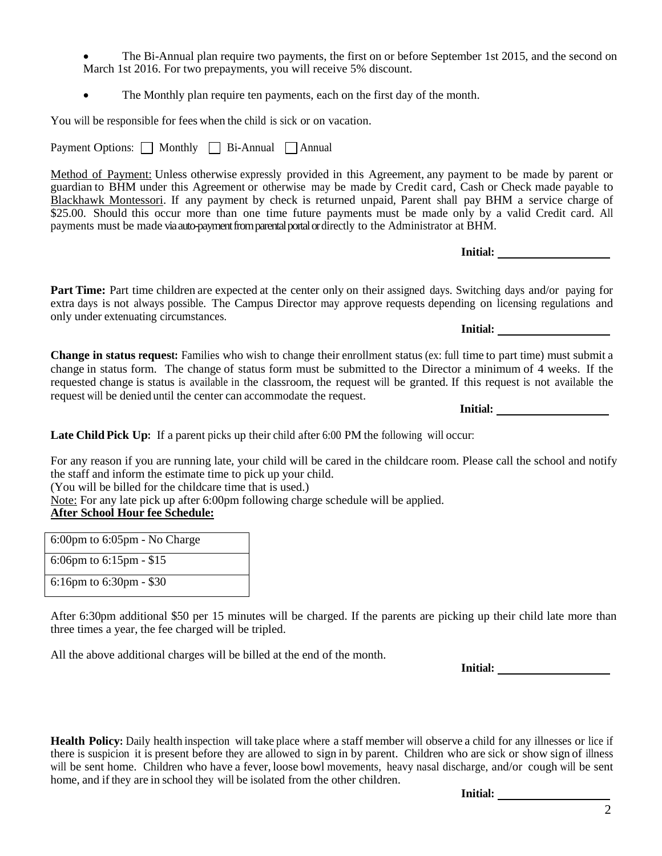- The Bi-Annual plan require two payments, the first on or before September 1st 2015, and the second on March 1st 2016. For two prepayments, you will receive 5% discount.
- The Monthly plan require ten payments, each on the first day of the month.

You will be responsible for fees when the child is sick or on vacation.

Payment Options:  $\Box$  Monthly  $\Box$  Bi-Annual  $\Box$  Annual

Method of Payment: Unless otherwise expressly provided in this Agreement, any payment to be made by parent or guardian to BHM under this Agreement or otherwise may be made by Credit card, Cash or Check made payable to Blackhawk Montessori. If any payment by check is returned unpaid, Parent shall pay BHM a service charge of \$25.00. Should this occur more than one time future payments must be made only by a valid Credit card. All payments must be made via auto-payment from parental portal or directly to the Administrator at BHM.

**Initial:**

**Part Time:** Part time children are expected at the center only on their assigned days. Switching days and/or paying for extra days is not always possible. The Campus Director may approve requests depending on licensing regulations and only under extenuating circumstances. **Initial:**

**Change in status request:** Families who wish to change their enrollment status (ex: full time to part time) must submit a change in status form. The change of status form must be submitted to the Director a minimum of 4 weeks. If the requested change is status is available in the classroom, the request will be granted. If this request is not available the request will be denied until the center can accommodate the request.

**Initial:**

**Late Child Pick Up:** If a parent picks up their child after 6:00 PM the following will occur:

For any reason if you are running late, your child will be cared in the childcare room. Please call the school and notify the staff and inform the estimate time to pick up your child.

(You will be billed for the childcare time that is used.)

Note: For any late pick up after 6:00pm following charge schedule will be applied.

## **After School Hour fee Schedule:**

| 6:00pm to 6:05pm - No Charge |
|------------------------------|
| 6:06pm to 6:15pm - \$15      |
| 6:16pm to 6:30pm - \$30      |

After 6:30pm additional \$50 per 15 minutes will be charged. If the parents are picking up their child late more than three times a year, the fee charged will be tripled.

All the above additional charges will be billed at the end of the month.

**Initial:**

**Health Policy:** Daily health inspection will take place where a staff member will observe a child for any illnesses or lice if there is suspicion it is present before they are allowed to sign in by parent. Children who are sick or show sign of illness will be sent home. Children who have a fever, loose bowl movements, heavy nasal discharge, and/or cough will be sent home, and if they are in school they will be isolated from the other children.

**Initial:**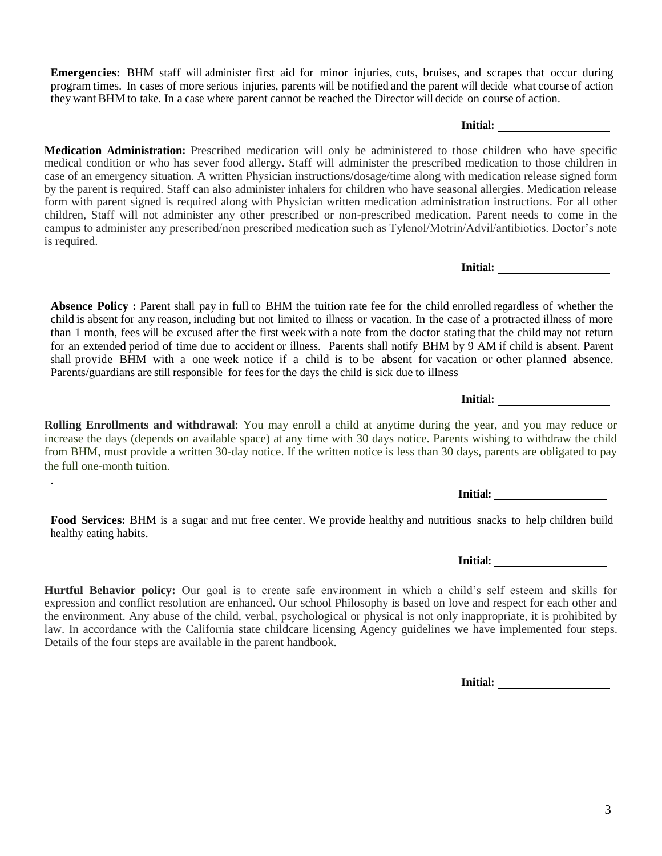**Emergencies:** BHM staff will administer first aid for minor injuries, cuts, bruises, and scrapes that occur during program times. In cases of more serious injuries, parents will be notified and the parent will decide what course of action they want BHM to take. In a case where parent cannot be reached the Director will decide on course of action. **Initial:**

**Medication Administration:** Prescribed medication will only be administered to those children who have specific medical condition or who has sever food allergy. Staff will administer the prescribed medication to those children in case of an emergency situation. A written Physician instructions/dosage/time along with medication release signed form by the parent is required. Staff can also administer inhalers for children who have seasonal allergies. Medication release form with parent signed is required along with Physician written medication administration instructions. For all other children, Staff will not administer any other prescribed or non-prescribed medication. Parent needs to come in the campus to administer any prescribed/non prescribed medication such as Tylenol/Motrin/Advil/antibiotics. Doctor's note is required.

**Absence Policy :** Parent shall pay in full to BHM the tuition rate fee for the child enrolled regardless of whether the child is absent for any reason, including but not limited to illness or vacation. In the case of a protracted illness of more than 1 month, fees will be excused after the first week with a note from the doctor stating that the child may not return for an extended period of time due to accident or illness. Parents shall notify BHM by 9 AM if child is absent. Parent shall provide BHM with a one week notice if a child is to be absent for vacation or other planned absence. Parents/guardians are still responsible for feesfor the days the child is sick due to illness

**Rolling Enrollments and withdrawal**: You may enroll a child at anytime during the year, and you may reduce or increase the days (depends on available space) at any time with 30 days notice. Parents wishing to withdraw the child from BHM, must provide a written 30-day notice. If the written notice is less than 30 days, parents are obligated to pay the full one-month tuition.

.

**Food Services:** BHM is a sugar and nut free center. We provide healthy and nutritious snacks to help children build healthy eating habits.

**Hurtful Behavior policy:** Our goal is to create safe environment in which a child's self esteem and skills for expression and conflict resolution are enhanced. Our school Philosophy is based on love and respect for each other and the environment. Any abuse of the child, verbal, psychological or physical is not only inappropriate, it is prohibited by law. In accordance with the California state childcare licensing Agency guidelines we have implemented four steps. Details of the four steps are available in the parent handbook.

**Initial:**

**Initial:**

**Initial:**

**Initial:**

**Initial:**